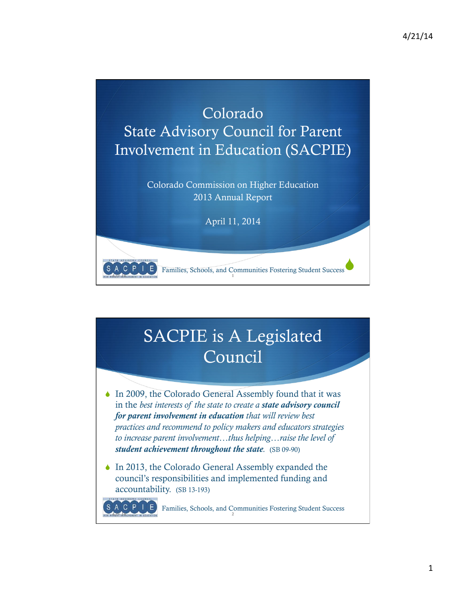$\blacklozenge$ 



### SACPIE is A Legislated Council

EXAMPLE AN ALL AND THE REDUCATION OF THE RESIDENCE OF THE RESIDENCE OF THE REDUCATION OF THE RESIDENCE OF THE RESIDENCE OF THE RESIDENCE OF THE RESIDENCE OF THE RESIDENCE OF THE RESIDENCE OF THE RESIDENCE OF THE RESIDENCE

SACPIE

Families, Schools, and Communities Fostering Student Success

- $\bullet$  In 2009, the Colorado General Assembly found that it was in the *best interests of the state to create a state advisory council for parent involvement in education that will review best practices and recommend to policy makers and educators strategies to increase parent involvement…thus helping…raise the level of student achievement throughout the state.* (SB 09-90)
- $\bullet$  In 2013, the Colorado General Assembly expanded the council's responsibilities and implemented funding and accountability. (SB 13-193)

ALCUPTULE Families, Schools, and Communities Fostering Student Success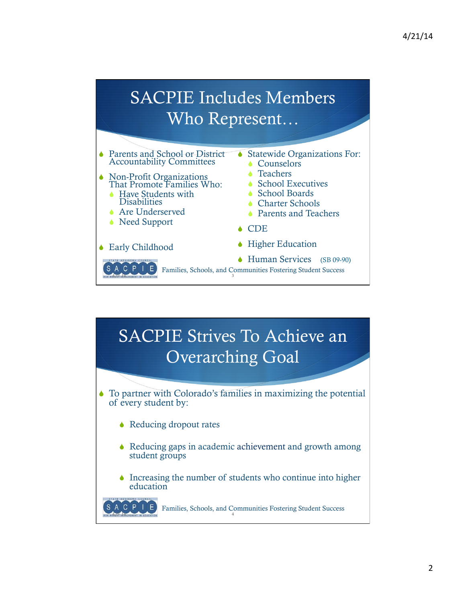### SACPIE Includes Members Who Represent…



#### SACPIE Strives To Achieve an Overarching Goal  $\bullet$  To partner with Colorado's families in maximizing the potential of every student by:  $\triangle$  Reducing dropout rates  $\triangle$  Reducing gaps in academic achievement and growth among student groups

 $\bullet$  Increasing the number of students who continue into higher education

A C P E Families, Schools, and Communities Fostering Student Success **CREAT INFOLVEMENT IN EDUCATION**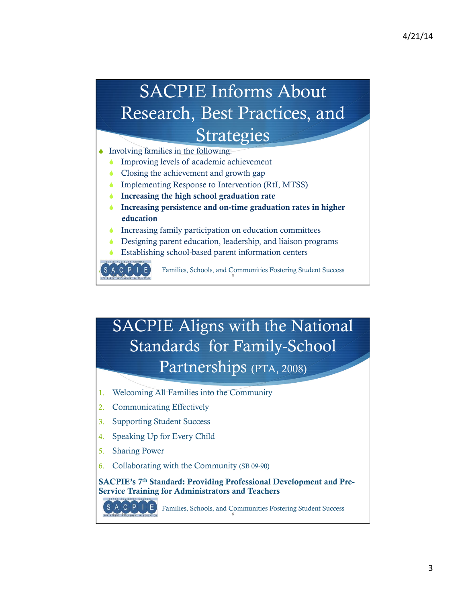# SACPIE Informs About Research, Best Practices, and Strategies

 $\bullet$  Involving families in the following:

- Improving levels of academic achievement
- Closing the achievement and growth gap
- $\bullet$  Implementing Response to Intervention (RtI, MTSS)
- $\bullet$  Increasing the high school graduation rate
- Increasing persistence and on-time graduation rates in higher education
- Increasing family participation on education committees
- Designing parent education, leadership, and liaison programs
- Establishing school-based parent information centers



S A C P  $\overline{1}\left( \overline{E} \right)$  Families, Schools, and Communities Fostering Student Success

#### SACPIE Aligns with the National Standards for Family-School Partnerships (PTA, 2008)

- 1. Welcoming All Families into the Community
- 2. Communicating Effectively
- 3. Supporting Student Success
- 4. Speaking Up for Every Child
- 5. Sharing Power
- 6. Collaborating with the Community (SB 09-90)

SACPIE's 7<sup>th</sup> Standard: Providing Professional Development and Pre-Service Training for Administrators and Teachers

SACPIE Families, Schools, and Communities Fostering Student Success  $4.11.14$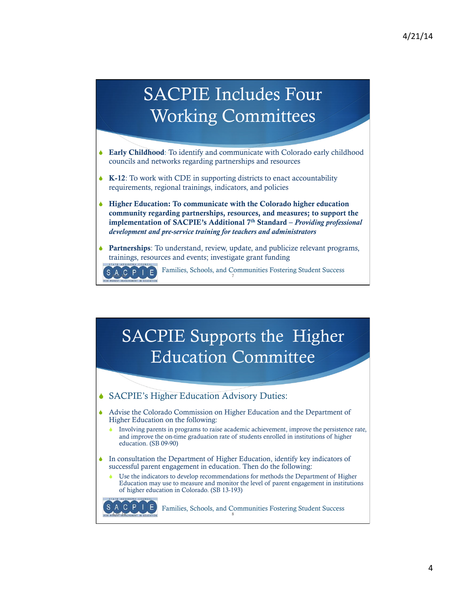## SACPIE Includes Four Working Committees

- $\bullet$  Early Childhood: To identify and communicate with Colorado early childhood councils and networks regarding partnerships and resources
- $\bullet$  K-12: To work with CDE in supporting districts to enact accountability requirements, regional trainings, indicators, and policies
- $\blacklozenge$  Higher Education: To communicate with the Colorado higher education community regarding partnerships, resources, and measures; to support the implementation of SACPIE's Additional 7th Standard – *Providing professional development and pre-service training for teachers and administrators*
- **Partnerships**: To understand, review, update, and publicize relevant programs, trainings, resources and events; investigate grant funding

Families, Schools, and Communities Fostering Student Success

SACPIE Supports the Higher Education Committee

◆ SACPIE's Higher Education Advisory Duties:

 $A,C$   $P$   $I$   $E$ 

- S Advise the Colorado Commission on Higher Education and the Department of Higher Education on the following:
	- Involving parents in programs to raise academic achievement, improve the persistence rate, and improve the on-time graduation rate of students enrolled in institutions of higher education. (SB 09-90)
- $\bullet$  In consultation the Department of Higher Education, identify key indicators of successful parent engagement in education. Then do the following:
	- Use the indicators to develop recommendations for methods the Department of Higher Education may use to measure and monitor the level of parent engagement in institutions of higher education in Colorado. (SB 13-193)

 Families, Schools, and Communities Fostering Student Success HEAT INVOLVEMENT IN EDUCATION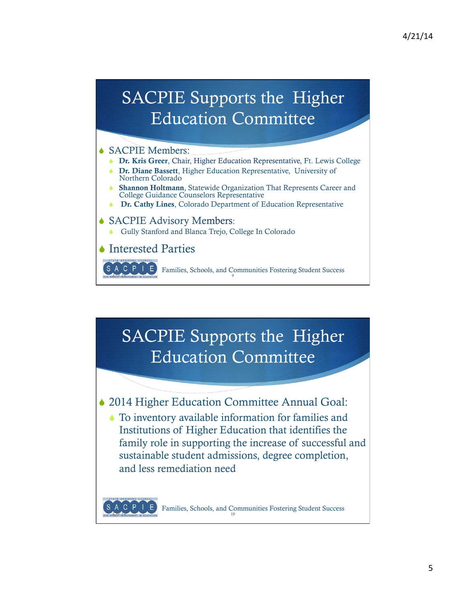### SACPIE Supports the Higher Education Committee

#### SACPIE Members:

- **Dr. Kris Greer**, Chair, Higher Education Representative, Ft. Lewis College
- Dr. Diane Bassett, Higher Education Representative, University of Northern Colorado
- Shannon Holtmann, Statewide Organization That Represents Career and College Guidance Counselors Representative
- **S Dr. Cathy Lines, Colorado Department of Education Representative**

#### ◆ SACPIE Advisory Members:

Gully Stanford and Blanca Trejo, College In Colorado

**▲ Interested Parties** 

**ALCUPTULE** Families, Schools, and Communities Fostering Student Success

#### SACPIE Supports the Higher Education Committee

◆ 2014 Higher Education Committee Annual Goal:

 $\blacklozenge$  To inventory available information for families and Institutions of Higher Education that identifies the family role in supporting the increase of successful and sustainable student admissions, degree completion, and less remediation need

Families, Schools, and Communities Fostering Student Success  $4.11.14$   $4.100$  events in Education